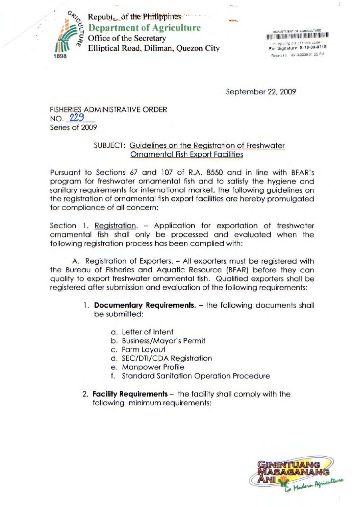

Republ. of the Philippines **Department of Agriculture**  Office of the Secretary Elliptical Road, Diliman, Quezon City

DEPARTMENT OF AGRICULTURE In rep.ying pis cite this code **For Signature: S.10-09-0218**  Received i0113(2009 01:22 PM

September 22, 2009

FISHERIES ADMINISTRATIVE ORDER NO. 229 Series of 2009

### SUBJECT: Guidelines on the Registration of Freshwater Ornamental Fish Export Facilities

Pursuant to Sections 67 and 107 of R.A. 8550 and in line with BFAR's program for freshwater ornamental fish and to satisfy the hygiene and sanitary requirements for international market, the following guidelines on the registration of ornamental fish export facilities are hereby promulgated for compliance of all concern:

Section 1. Registration. - Application for exportation of freshwater ornamental fish shall only be processed and evaluated when the following registration process has been complied with:

A. Registration of Exporters. - All exporters must be registered with the Bureau of Fisheries and Aquatic Resource (BFAR) before they can qualify to export freshwater ornamental fish. Qualified exporters shall be registered after submission and evaluation of the following requirements:

- 1. **Documentary Requirements.** the following documents shall be submitted:
	- a. Letter of Intent
	- b. Business/Mayor's Permit
	- c. Farm Layout
	- d. SEC/DTI/CDA Registration
	- e. Manpower Profile
	- f. Standard Sanitation Operation Procedure
- 2. **Facility Requirements**  the facility shall comply with the following minimum requirements:

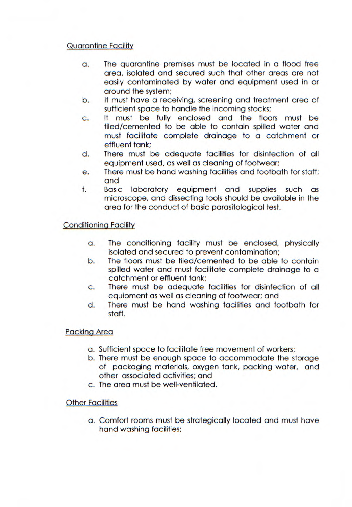## Quarantine Facility

- a. The quarantine premises must be located in a flood free area, isolated and secured such that other areas are not easily contaminated by water and equipment used in or around the system;
- b. It must have a receiving, screening and treatment area of sufficient space to handle the incoming stocks;
- C. It must be fully enclosed and the floors must be tiled/cemented to be able to contain spilled water and must facilitate complete drainage to a catchment or effluent tank;
- d. There must be adequate facilities for disinfection of all equipment used, as well as cleaning of footwear;
- e. There must be hand washing facilities and footbath for staff; and
- f. Basic laboratory equipment and supplies such as microscope, and dissecting tools should be available in the area for the conduct of basic parasitological test.

#### Conditioning Facility

- a. The conditioning facility must be enclosed, physically isolated and secured to prevent contamination;
- b. The floors must be tiled/cemented to be able to contain spilled water and must facilitate complete drainage to a catchment or effluent tank;
- C. There must be adequate facilities for disinfection of all equipment as well as cleaning of footwear; and
- d. There must be hand washing facilities and footbath for staff.

#### Packing Area

- a. Sufficient space to facilitate free movement of workers;
- b. There must be enough space to accommodate the storage of packaging materials, oxygen tank, packing water, and other associated activities; and
- c. The area must be well-ventilated.

#### **Other Facilities**

a. Comfort rooms must be strategically located and must have hand washing facilities;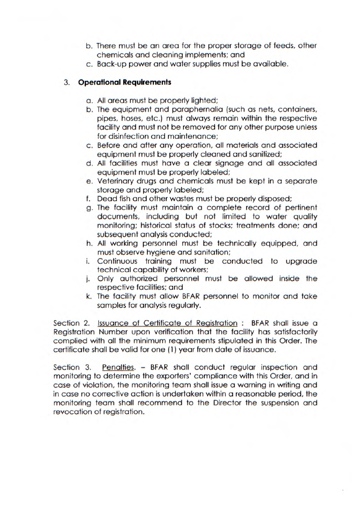- b. There must be an area for the proper storage of feeds, other chemicals and cleaning implements; and
- c. Back-up power and water supplies must be available.

# 3. **Operational Requirements**

- a. All areas must be properly lighted;
- b. The equipment and paraphernalia (such as nets, containers, pipes, hoses, etc.) must always remain within the respective facility and must not be removed for any other purpose unless for disinfection and maintenance;
- c. Before and after any operation, all materials and associated equipment must be properly cleaned and sanitized;
- d. All facilities must have a clear signage and all associated equipment must be properly labeled;
- e. Veterinary drugs and chemicals must be kept in a separate storage and properly labeled;
- f. Dead fish and other wastes must be properly disposed;
- g. The facility must maintain a complete record of pertinent documents, including but not limited to water quality monitoring; historical status of stocks; treatments done; and subsequent analysis conducted;
- h. All working personnel must be technically equipped, and must observe hygiene and sanitation;
- i. Continuous training must be conducted to upgrade technical capability of workers;
- j. Only authorized personnel must be allowed inside the respective facilities; and
- k. The facility must allow BFAR personnel to monitor and take samples for analysis regularly.

Section 2. Issuance of Certificate of Registration : BFAR shall issue a Registration Number upon verification that the facility has satisfactorily complied with all the minimum requirements stipulated in this Order. The certificate shall be valid for one (1) year from date of issuance.

Section 3. Penalties. - BFAR shall conduct regular inspection and monitoring to determine the exporters' compliance with this Order, and in case of violation, the monitoring team shall issue a warning in writing and in case no corrective action is undertaken within a reasonable period, the monitoring team shall recommend to the Director the suspension and revocation of registration.